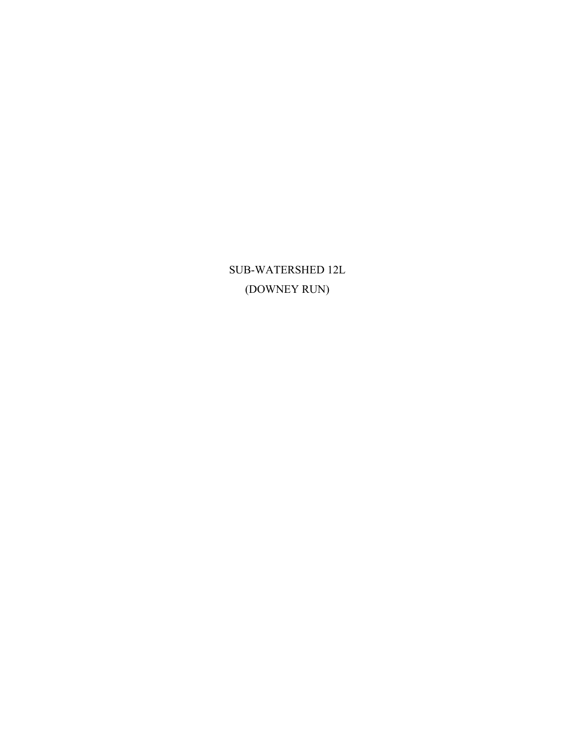SUB-WATERSHED 12L (DOWNEY RUN)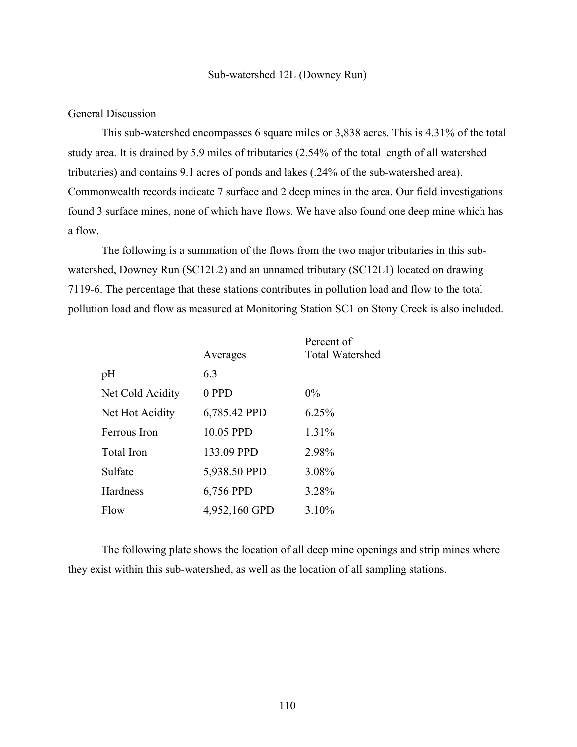#### Sub-watershed 12L (Downey Run)

#### General Discussion

This sub-watershed encompasses 6 square miles or 3,838 acres. This is 4.31% of the total study area. It is drained by 5.9 miles of tributaries (2.54% of the total length of all watershed tributaries) and contains 9.1 acres of ponds and lakes (.24% of the sub-watershed area). Commonwealth records indicate 7 surface and 2 deep mines in the area. Our field investigations found 3 surface mines, none of which have flows. We have also found one deep mine which has a flow.

The following is a summation of the flows from the two major tributaries in this subwatershed, Downey Run (SC12L2) and an unnamed tributary (SC12L1) located on drawing 7119-6. The percentage that these stations contributes in pollution load and flow to the total pollution load and flow as measured at Monitoring Station SC1 on Stony Creek is also included.

|                  |                 | Percent of             |
|------------------|-----------------|------------------------|
|                  | <u>Averages</u> | <b>Total Watershed</b> |
| pH               | 6.3             |                        |
| Net Cold Acidity | 0 PPD           | $0\%$                  |
| Net Hot Acidity  | 6,785.42 PPD    | 6.25%                  |
| Ferrous Iron     | 10.05 PPD       | 1.31%                  |
| Total Iron       | 133.09 PPD      | 2.98%                  |
| Sulfate          | 5,938.50 PPD    | 3.08%                  |
| Hardness         | 6,756 PPD       | 3.28%                  |
| Flow             | 4,952,160 GPD   | 3.10%                  |

The following plate shows the location of all deep mine openings and strip mines where they exist within this sub-watershed, as well as the location of all sampling stations.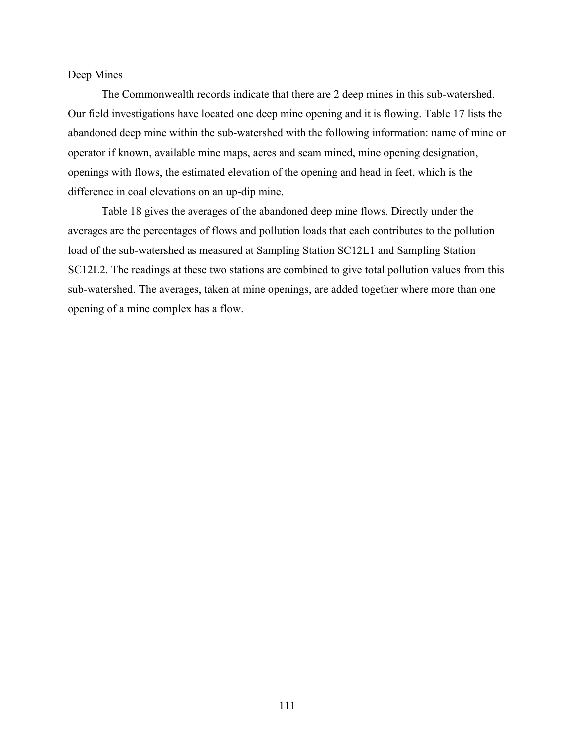### Deep Mines

The Commonwealth records indicate that there are 2 deep mines in this sub-watershed. Our field investigations have located one deep mine opening and it is flowing. Table 17 lists the abandoned deep mine within the sub-watershed with the following information: name of mine or operator if known, available mine maps, acres and seam mined, mine opening designation, openings with flows, the estimated elevation of the opening and head in feet, which is the difference in coal elevations on an up-dip mine.

Table 18 gives the averages of the abandoned deep mine flows. Directly under the averages are the percentages of flows and pollution loads that each contributes to the pollution load of the sub-watershed as measured at Sampling Station SC12L1 and Sampling Station SC12L2. The readings at these two stations are combined to give total pollution values from this sub-watershed. The averages, taken at mine openings, are added together where more than one opening of a mine complex has a flow.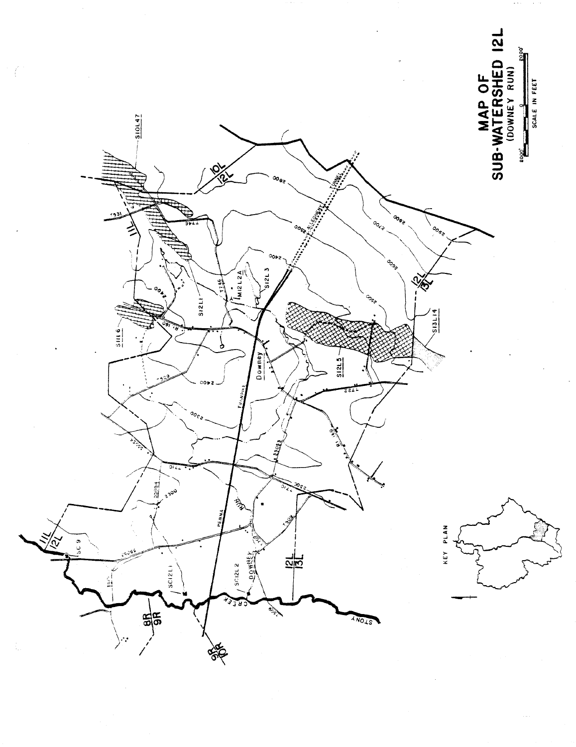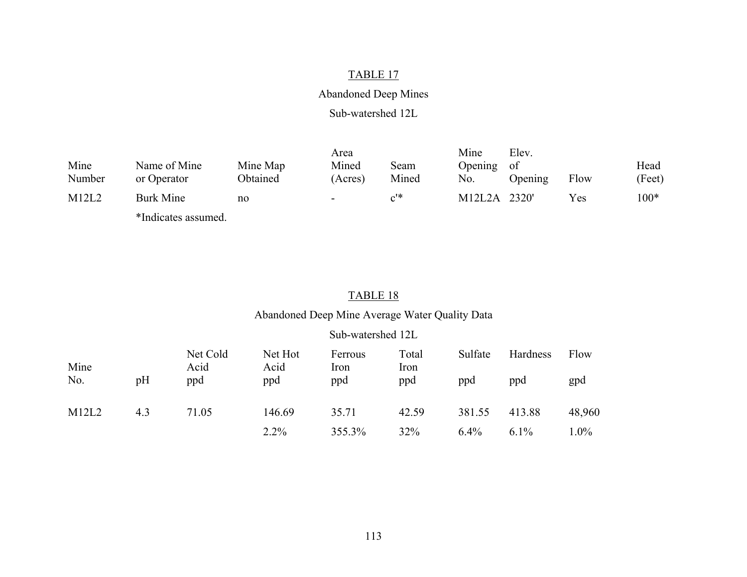# Abandoned Deep Mines

Sub-watershed 12L

|                |                             |                      | Area             |               | Mine           | Elev.          |      |                |
|----------------|-----------------------------|----------------------|------------------|---------------|----------------|----------------|------|----------------|
| Mine<br>Number | Name of Mine<br>or Operator | Mine Map<br>Obtained | Mined<br>(Acres) | Seam<br>Mined | Opening<br>No. | -of<br>Opening | Flow | Head<br>(Feet) |
| M12L2          | Burk Mine                   | no                   | ۰.               | $c^{\prime*}$ | M12L2A 2320'   |                | Yes  | $100*$         |
|                | *Indicates assumed.         |                      |                  |               |                |                |      |                |

#### TABLE 18

# Abandoned Deep Mine Average Water Quality Data

|       |     |                  |                 |                 | Sub-watershed 12L    |         |          |        |  |  |
|-------|-----|------------------|-----------------|-----------------|----------------------|---------|----------|--------|--|--|
| Mine  |     | Net Cold<br>Acid | Net Hot<br>Acid | Ferrous<br>Iron | Total<br><b>Iron</b> | Sulfate | Hardness | Flow   |  |  |
| No.   | pH  | ppd              | ppd             | ppd             | ppd                  | ppd     | ppd      | gpd    |  |  |
| M12L2 | 4.3 | 71.05            | 146.69          | 35.71           | 42.59                | 381.55  | 413.88   | 48,960 |  |  |
|       |     |                  | 2.2%            | 355.3%          | 32%                  | $6.4\%$ | $6.1\%$  | 1.0%   |  |  |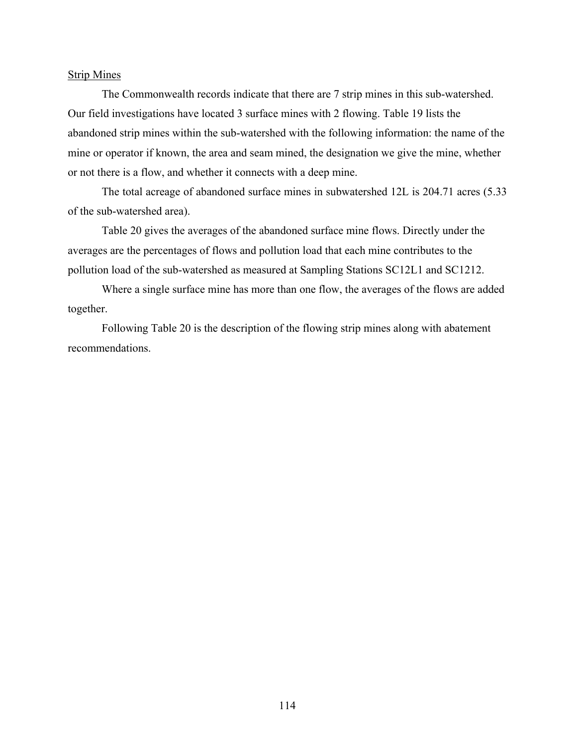#### Strip Mines

The Commonwealth records indicate that there are 7 strip mines in this sub-watershed. Our field investigations have located 3 surface mines with 2 flowing. Table 19 lists the abandoned strip mines within the sub-watershed with the following information: the name of the mine or operator if known, the area and seam mined, the designation we give the mine, whether or not there is a flow, and whether it connects with a deep mine.

The total acreage of abandoned surface mines in subwatershed 12L is 204.71 acres (5.33 of the sub-watershed area).

Table 20 gives the averages of the abandoned surface mine flows. Directly under the averages are the percentages of flows and pollution load that each mine contributes to the pollution load of the sub-watershed as measured at Sampling Stations SC12L1 and SC1212.

Where a single surface mine has more than one flow, the averages of the flows are added together.

Following Table 20 is the description of the flowing strip mines along with abatement recommendations.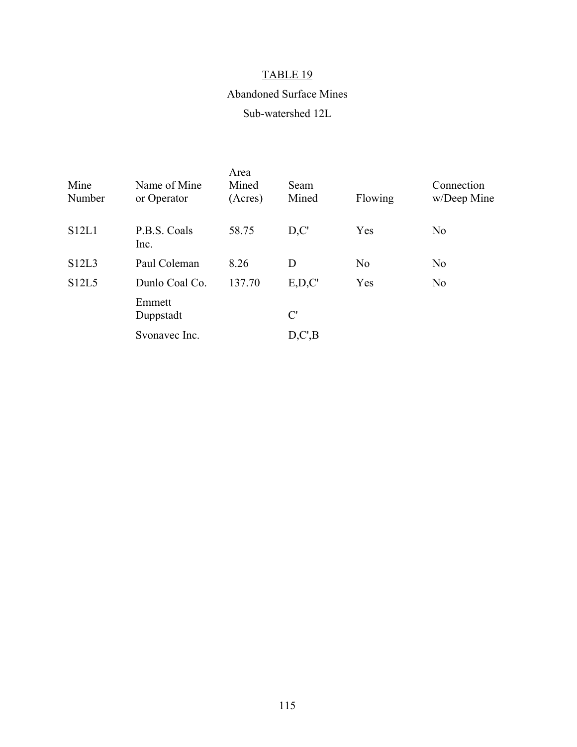# Abandoned Surface Mines

# Sub-watershed 12L

| Mine<br>Number | Name of Mine<br>or Operator | Area<br>Mined<br>(Acres) | Seam<br>Mined  | Flowing        | Connection<br>w/Deep Mine |
|----------------|-----------------------------|--------------------------|----------------|----------------|---------------------------|
| S12L1          | P.B.S. Coals<br>Inc.        | 58.75                    | D, C'          | Yes            | N <sub>0</sub>            |
| <b>S12L3</b>   | Paul Coleman                | 8.26                     | D              | N <sub>0</sub> | N <sub>0</sub>            |
| S12L5          | Dunlo Coal Co.              | 137.70                   | E, D, C'       | Yes            | N <sub>0</sub>            |
|                | Emmett<br>Duppstadt         |                          | $\mathcal{C}'$ |                |                           |
|                | Svonavec Inc.               |                          | D, C', B       |                |                           |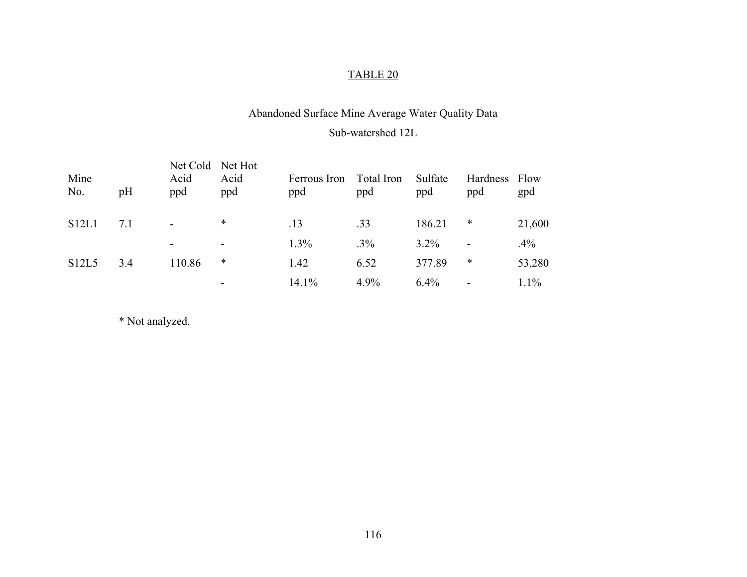# Abandoned Surface Mine Average Water Quality Data

Sub-watershed 12L

| Mine<br>No.  | pH  | Net Cold Net Hot<br>Acid<br>ppd | Acid<br>ppd | Ferrous Iron<br>ppd | Total Iron<br>ppd | Sulfate<br>ppd | Hardness Flow<br>ppd | gpd    |
|--------------|-----|---------------------------------|-------------|---------------------|-------------------|----------------|----------------------|--------|
| S12L1        | 7.1 | $\blacksquare$                  | $\ast$      | .13                 | .33               | 186.21         | *                    | 21,600 |
|              |     | $\overline{\phantom{a}}$        | -           | 1.3%                | $.3\%$            | $3.2\%$        |                      | .4%    |
| <b>S12L5</b> | 3.4 | 110.86                          | ∗           | 1.42                | 6.52              | 377.89         | ∗                    | 53,280 |
|              |     |                                 | -           | 14.1%               | 4.9%              | $6.4\%$        |                      | 1.1%   |

\* Not analyzed.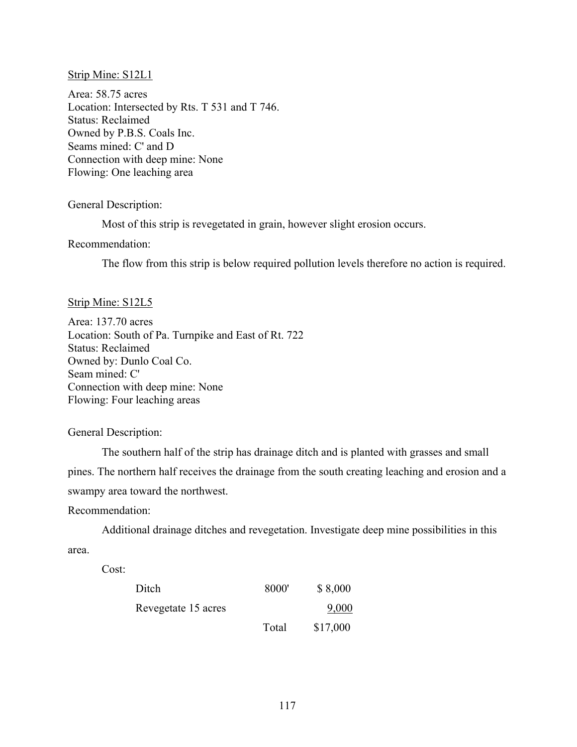#### Strip Mine: S12L1

Area: 58.75 acres Location: Intersected by Rts. T 531 and T 746. Status: Reclaimed Owned by P.B.S. Coals Inc. Seams mined: C' and D Connection with deep mine: None Flowing: One leaching area

General Description:

Most of this strip is revegetated in grain, however slight erosion occurs.

Recommendation:

The flow from this strip is below required pollution levels therefore no action is required.

# Strip Mine: S12L5

Area: 137.70 acres Location: South of Pa. Turnpike and East of Rt. 722 Status: Reclaimed Owned by: Dunlo Coal Co. Seam mined: C' Connection with deep mine: None Flowing: Four leaching areas

General Description:

The southern half of the strip has drainage ditch and is planted with grasses and small pines. The northern half receives the drainage from the south creating leaching and erosion and a swampy area toward the northwest.

Recommendation:

Additional drainage ditches and revegetation. Investigate deep mine possibilities in this area.

Cost:

| Ditch               | 8000' | \$8,000  |
|---------------------|-------|----------|
| Revegetate 15 acres |       | 9,000    |
|                     | Total | \$17,000 |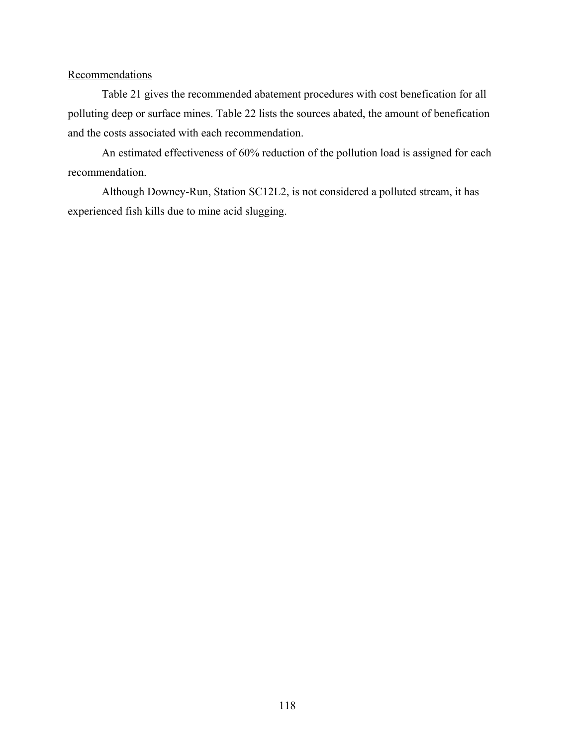# **Recommendations**

Table 21 gives the recommended abatement procedures with cost benefication for all polluting deep or surface mines. Table 22 lists the sources abated, the amount of benefication and the costs associated with each recommendation.

An estimated effectiveness of 60% reduction of the pollution load is assigned for each recommendation.

Although Downey-Run, Station SC12L2, is not considered a polluted stream, it has experienced fish kills due to mine acid slugging.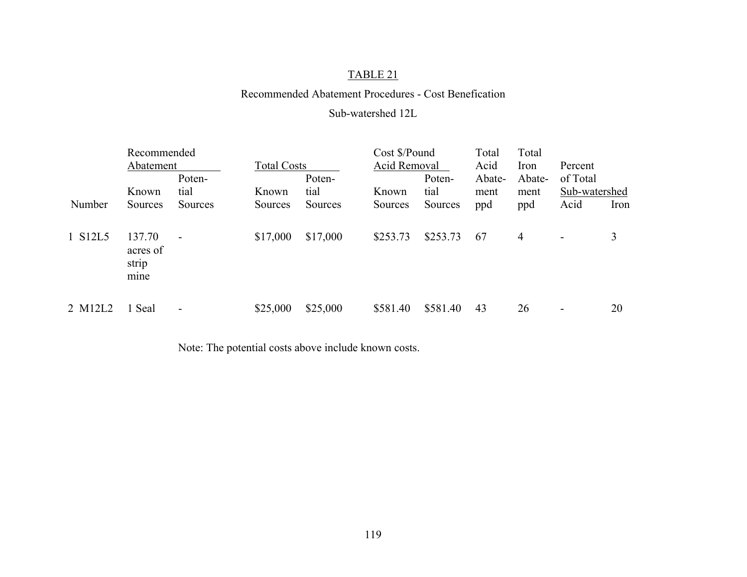### Recommended Abatement Procedures - Cost Benefication

### Sub-watershed 12L

|         | Recommended                         |                              |                    |          | Cost \$/Pound |              | Total<br>Acid | Total  | Percent                  |      |
|---------|-------------------------------------|------------------------------|--------------------|----------|---------------|--------------|---------------|--------|--------------------------|------|
|         | Abatement                           |                              | <b>Total Costs</b> |          |               | Acid Removal |               | Iron   |                          |      |
|         |                                     | Poten-                       |                    | Poten-   |               | Poten-       | Abate-        | Abate- | of Total                 |      |
|         | Known                               | tial                         | Known              | tial     | Known         | tial         | ment          | ment   | Sub-watershed            |      |
| Number  | Sources                             | Sources                      | Sources            | Sources  | Sources       | Sources      | ppd           | ppd    | Acid                     | Iron |
| 1 S12L5 | 137.70<br>acres of<br>strip<br>mine | $\qquad \qquad \blacksquare$ | \$17,000           | \$17,000 | \$253.73      | \$253.73     | 67            | 4      | $\overline{\phantom{a}}$ | 3    |
| 2 M12L2 | 1 Seal                              |                              | \$25,000           | \$25,000 | \$581.40      | \$581.40     | 43            | 26     | $\overline{\phantom{a}}$ | 20   |

Note: The potential costs above include known costs.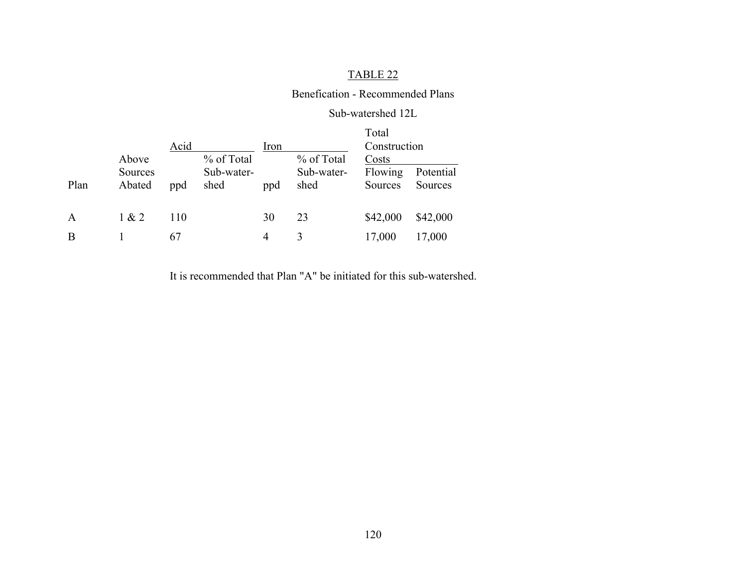#### Benefication - Recommended Plans

#### Sub-watershed 12L

|      |                            | Acid |                                  | Iron |                                  | Total<br>Construction       |                      |
|------|----------------------------|------|----------------------------------|------|----------------------------------|-----------------------------|----------------------|
| Plan | Above<br>Sources<br>Abated | ppd  | % of Total<br>Sub-water-<br>shed | ppd  | % of Total<br>Sub-water-<br>shed | Costs<br>Flowing<br>Sources | Potential<br>Sources |
| A    | 1 & 2                      | 110  |                                  | 30   | 23                               | \$42,000                    | \$42,000             |
| B    |                            | 67   |                                  | 4    | $\mathcal{E}$                    | 17,000                      | 17,000               |

It is recommended that Plan "A" be initiated for this sub-watershed.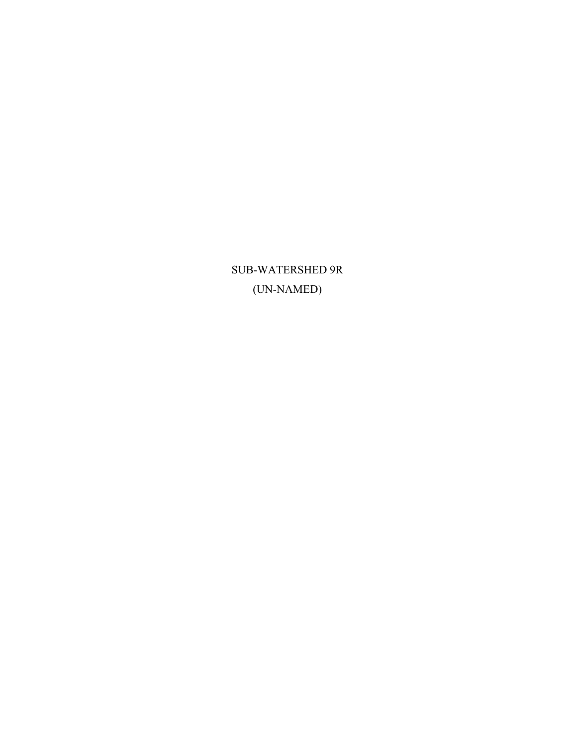SUB-WATERSHED 9R (UN-NAMED)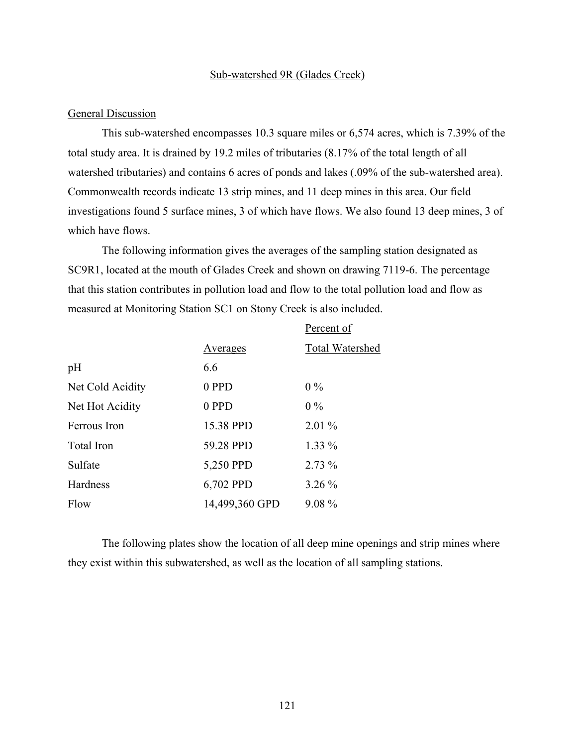#### Sub-watershed 9R (Glades Creek)

#### General Discussion

This sub-watershed encompasses 10.3 square miles or 6,574 acres, which is 7.39% of the total study area. It is drained by 19.2 miles of tributaries (8.17% of the total length of all watershed tributaries) and contains 6 acres of ponds and lakes (.09% of the sub-watershed area). Commonwealth records indicate 13 strip mines, and 11 deep mines in this area. Our field investigations found 5 surface mines, 3 of which have flows. We also found 13 deep mines, 3 of which have flows.

The following information gives the averages of the sampling station designated as SC9R1, located at the mouth of Glades Creek and shown on drawing 7119-6. The percentage that this station contributes in pollution load and flow to the total pollution load and flow as measured at Monitoring Station SC1 on Stony Creek is also included.

|                   |                | Percent of             |
|-------------------|----------------|------------------------|
|                   | Averages       | <b>Total Watershed</b> |
| pH                | 6.6            |                        |
| Net Cold Acidity  | 0 PPD          | $0\%$                  |
| Net Hot Acidity   | 0 PPD          | $0\%$                  |
| Ferrous Iron      | 15.38 PPD      | $2.01\%$               |
| <b>Total Iron</b> | 59.28 PPD      | $1.33\%$               |
| Sulfate           | 5,250 PPD      | $2.73\%$               |
| Hardness          | 6,702 PPD      | $3.26\%$               |
| Flow              | 14,499,360 GPD | $9.08\%$               |

The following plates show the location of all deep mine openings and strip mines where they exist within this subwatershed, as well as the location of all sampling stations.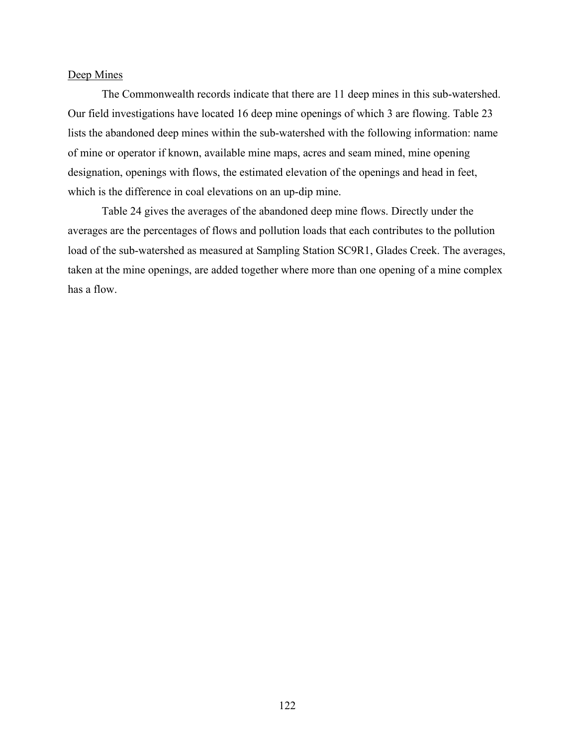# Deep Mines

The Commonwealth records indicate that there are 11 deep mines in this sub-watershed. Our field investigations have located 16 deep mine openings of which 3 are flowing. Table 23 lists the abandoned deep mines within the sub-watershed with the following information: name of mine or operator if known, available mine maps, acres and seam mined, mine opening designation, openings with flows, the estimated elevation of the openings and head in feet, which is the difference in coal elevations on an up-dip mine.

Table 24 gives the averages of the abandoned deep mine flows. Directly under the averages are the percentages of flows and pollution loads that each contributes to the pollution load of the sub-watershed as measured at Sampling Station SC9R1, Glades Creek. The averages, taken at the mine openings, are added together where more than one opening of a mine complex has a flow.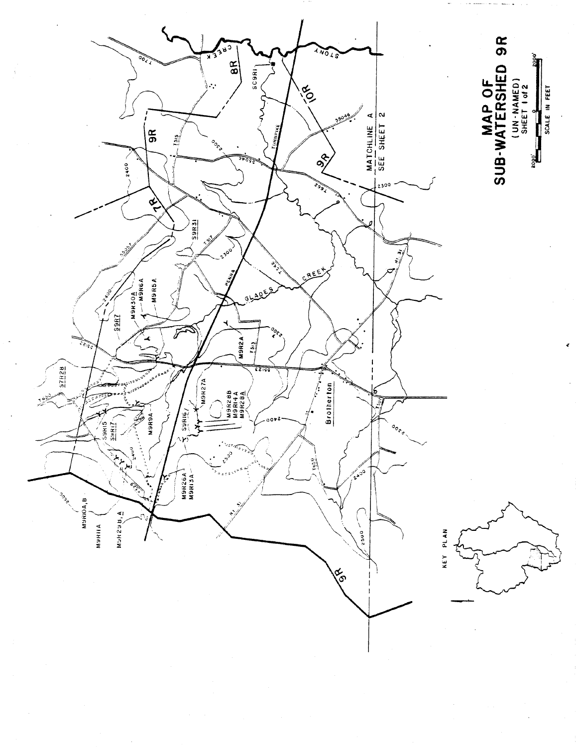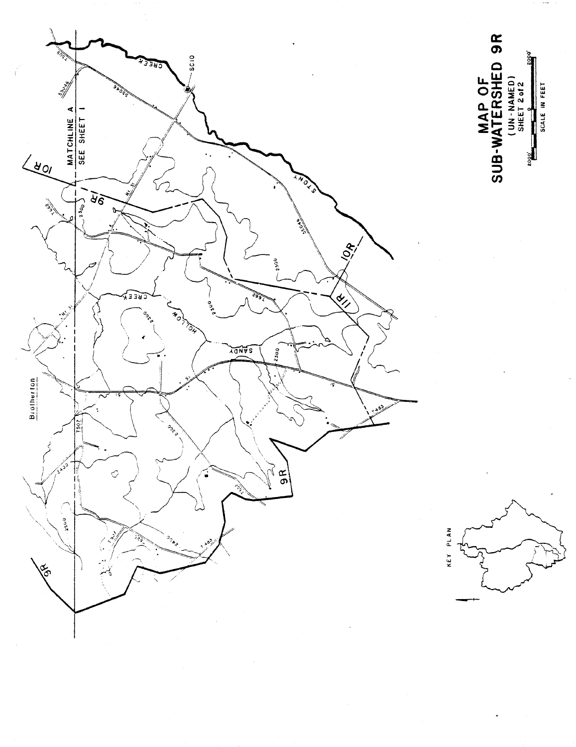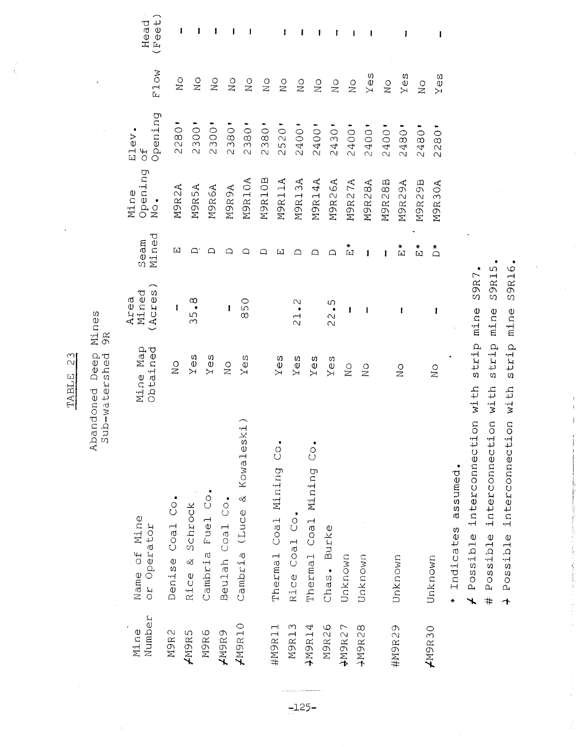| Number<br>Mine | Name of Mine<br>or Operator          | Mine Map<br>Obtained | (Acres<br>Mined<br>Area            | Seam<br>Mined            | Opening<br>Mine<br>$\bullet$<br>$\sum_{i=1}^{n}$ | Opening<br>Elev<br>ЪР | F1ow             | Head<br>Feet |
|----------------|--------------------------------------|----------------------|------------------------------------|--------------------------|--------------------------------------------------|-----------------------|------------------|--------------|
| M9R2           | Denise Coal Co.                      | $\frac{0}{2}$        | I                                  | ᄄ                        | M9R2A                                            | 2280'                 | $\frac{0}{2}$    | I            |
| ZM9R5          | Rice & Schrock                       | Yes                  | $\infty$<br>ഗ<br>Μ                 | ⊂.                       | <b>M9R5A</b>                                     | 2300                  | $\frac{0}{2}$    | I            |
| M9R6           | Cambria Fuel Co.                     | Yes                  |                                    | ≏                        | M9R6A                                            | 2300                  | $\frac{0}{2}$    | ı            |
| <b>AM9R9</b>   | Beulah Coal Co.                      | $\frac{0}{2}$        | ı                                  | ≏                        | <b>M9R9A</b>                                     | 2380                  | $\frac{0}{2}$    | J            |
| /M9R10         | $\dot{z}$<br>Cambria (Luce & Kowales | Yes                  | 850                                | ≏                        | M9R10A                                           | 2380                  | $\sum_{i=1}^{n}$ | J            |
|                |                                      |                      |                                    |                          | M9R10B                                           | 2380'                 | $\frac{0}{2}$    |              |
| #M9R11         | Thermal Coal Mining Co.              | Yes                  |                                    | 山                        | M9R11A                                           | 2520                  | $\frac{0}{2}$    | ı            |
| M9R13          | Rice Coal Co.                        | Yes                  | $\scriptstyle\sim$<br>$\mathbb{Z}$ |                          | M9R13A                                           | 2400                  | $\sum_{i=1}^{n}$ | ı            |
| AM9R14         | $rac{1}{C}$<br>Thermal Coal Mining   | res                  |                                    | ▭                        | M9R14A                                           | 2400                  | $\frac{0}{2}$    |              |
| M9R26          | Chas. Burke                          | Yes                  | ഗ<br>$\sim$<br>$\sim$              | ♤                        | M9R26A                                           | 2430                  | $\frac{0}{N}$    | ł            |
| J27            | Unknown                              | $_{\rm NO}$          | ı                                  | 囗                        | M9R27A                                           | 2400                  | $\sum_{i=1}^{n}$ | I            |
| M9R28          | Unknown                              | $\frac{0}{2}$        | I                                  | I                        | M9R28A                                           | 2400"                 | Yes              |              |
|                |                                      |                      |                                    | 1                        | 28B<br>M9R <sub>2</sub>                          | 2400                  | $\sum_{i=1}^{n}$ |              |
| #M9R29         | Unknown                              | $\sum_{i=1}^{n}$     | t                                  | ₩<br>$\overline{\omega}$ | M9R29A                                           | 2480                  | Yes              |              |
|                |                                      |                      |                                    | *<br>[]                  | M9R29B                                           | 2480                  | $\frac{0}{2}$    |              |
| 269R30         | Unknown                              | $\frac{0}{2}$        | I                                  | $\sum_{i=1}^{n}$         | M9R30A                                           | 2280                  | Yes              |              |

 $\frac{1}{3}$ 

Abandoned Deep Mines<br>Sub-watershed 9R

TABLE 23

\* Indicates assumed.

f Possible interconnection with strip mine S9R7.

# Possible interconnection with strip mine S9R15.

+ Possible interconnection with strip mine S9R16.

 $\label{eq:1} \begin{aligned} \mathcal{L}_{\mathcal{A}}(\mathcal{A}) = \mathcal{L}_{\mathcal{A}}(\mathcal{A}) = \mathcal{L}_{\mathcal{A}}(\mathcal{A}) = \mathcal{L}_{\mathcal{A}}(\mathcal{A}) = \mathcal{L}_{\mathcal{A}}(\mathcal{A}) = \mathcal{L}_{\mathcal{A}}(\mathcal{A}) = \mathcal{L}_{\mathcal{A}}(\mathcal{A}) = \mathcal{L}_{\mathcal{A}}(\mathcal{A}) = \mathcal{L}_{\mathcal{A}}(\mathcal{A}) = \mathcal{L}_{\mathcal{A}}(\mathcal{A}) = \mathcal{L}_{\mathcal{A}}(\mathcal{A})$ 

 $-125-$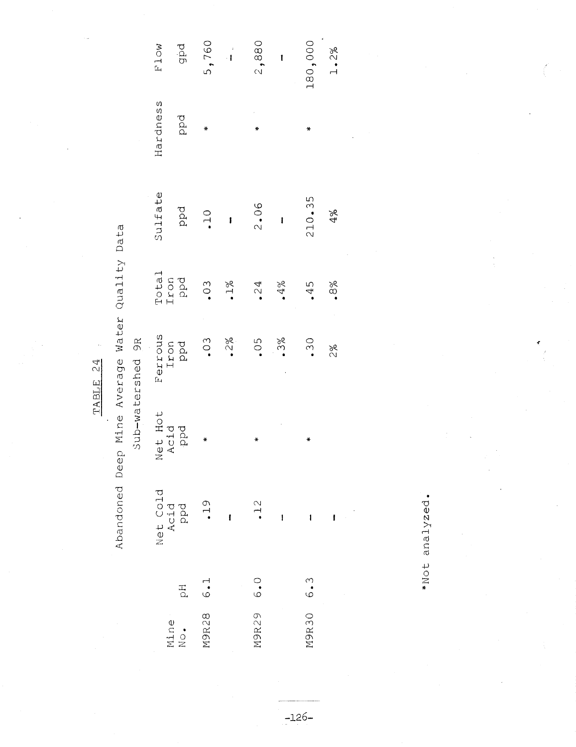$\overline{\phantom{a}}$ 

Abandoned Deep Mine Average Water Quality Data

| Œ<br>ന                                                                     |  |
|----------------------------------------------------------------------------|--|
| ರ<br>Φ<br>⊆<br>ഗ<br>Ч<br>Φ<br><mark>لىل</mark><br>ന<br>3<br>$\subset$<br>j |  |

| Flow          | gpd                     | 5,760                | $\frac{1}{\sqrt{1}}$ | 2,880            | t     | 180,000   | 1.2% |
|---------------|-------------------------|----------------------|----------------------|------------------|-------|-----------|------|
| Hardness      | ppd                     | ₩                    |                      | ¥                |       | 쏫         |      |
| Sulfate       | ppd                     | $\ddot{\phantom{0}}$ | $\mathbf{I}$         | 2.06             | t     | 210.35    | 4%   |
|               | Total<br>Iron<br>Ppd    | .03                  | $1\%$                | 24               | $4\%$ | $-45$     | 8%   |
| Ferrous       | Iron<br>ppd             | $\cdot$ 03           | 2%                   | 0.5 <sub>•</sub> | .3%   | .30       | 2g   |
| let Hot<br>∠, | pdd<br>Acid             | ₩                    |                      | ₩                |       | ₩         |      |
|               | Net Cold<br>Acid<br>Ppd | $-19$                | $\mathbf{I}$         | $\cdot$ 12       | İ     | Ī         | İ    |
|               | $\Xi$                   |                      |                      |                  |       |           |      |
|               | Mine<br>No.             | M9R28 6.1            |                      | M9R29 6.0        |       | M9R30 6.3 |      |

\*Not analyzed.

 $-126-$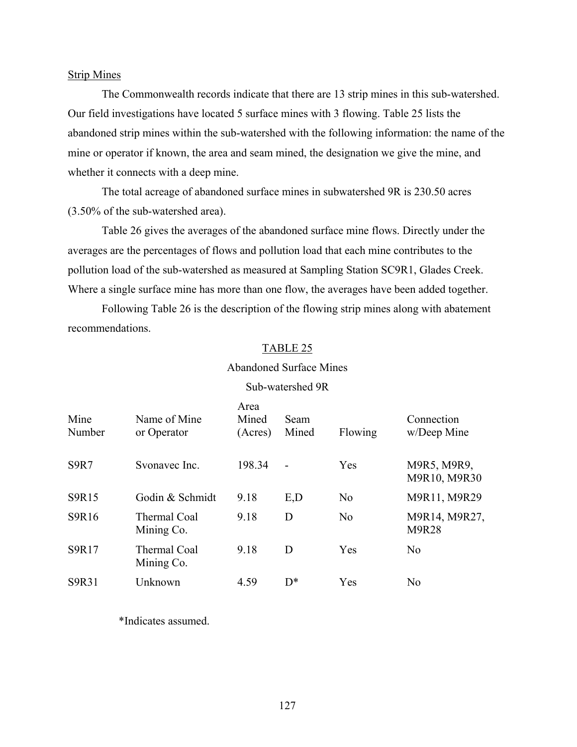#### Strip Mines

The Commonwealth records indicate that there are 13 strip mines in this sub-watershed. Our field investigations have located 5 surface mines with 3 flowing. Table 25 lists the abandoned strip mines within the sub-watershed with the following information: the name of the mine or operator if known, the area and seam mined, the designation we give the mine, and whether it connects with a deep mine.

The total acreage of abandoned surface mines in subwatershed 9R is 230.50 acres (3.50% of the sub-watershed area).

Table 26 gives the averages of the abandoned surface mine flows. Directly under the averages are the percentages of flows and pollution load that each mine contributes to the pollution load of the sub-watershed as measured at Sampling Station SC9R1, Glades Creek. Where a single surface mine has more than one flow, the averages have been added together.

Following Table 26 is the description of the flowing strip mines along with abatement recommendations.

# TABLE 25

#### Abandoned Surface Mines

| Mine<br>Number | Name of Mine<br>or Operator       | Area<br>Mined<br>(Acres) | <b>Seam</b><br>Mined | Flowing | Connection<br>w/Deep Mine     |
|----------------|-----------------------------------|--------------------------|----------------------|---------|-------------------------------|
| <b>S9R7</b>    | Svonavec Inc.                     | 198.34                   | $\blacksquare$       | Yes     | M9R5, M9R9,<br>M9R10, M9R30   |
| S9R15          | Godin & Schmidt                   | 9.18                     | E,D                  | No      | M9R11, M9R29                  |
| S9R16          | <b>Thermal Coal</b><br>Mining Co. | 9.18                     | D                    | No      | M9R14, M9R27,<br><b>M9R28</b> |
| S9R17          | Thermal Coal<br>Mining Co.        | 9.18                     | D                    | Yes     | No                            |
| S9R31          | Unknown                           | 4.59                     | $\mathsf{D}^*$       | Yes     | N <sub>0</sub>                |

Sub-watershed 9R

\*Indicates assumed.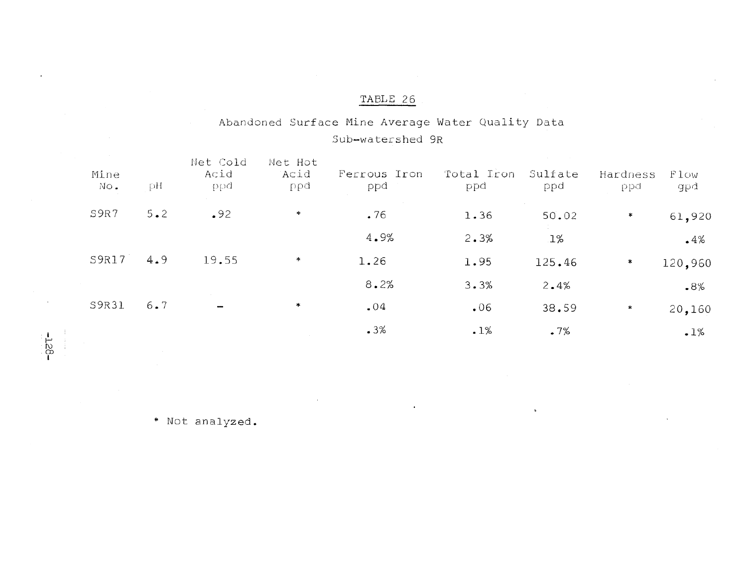# Abandoned Surface Mine Average Water Quality Data Sub-watershed 9R

| Mine<br>No. | рH  | Net Cold<br>Acid<br>ppd  | Net Hot<br>Acid<br>ppd | Ferrous Iron<br>ppd | Total Iron<br>ppd | Sulfate<br>ppd | Hardness<br>ppd | Flow<br>gpd |
|-------------|-----|--------------------------|------------------------|---------------------|-------------------|----------------|-----------------|-------------|
| S9R7        | 5.2 | .92                      | $\ast$                 | .76                 | 1.36              | 50.02          | $\ast$          | 61,920      |
|             |     |                          |                        | 4.9%                | 2.3%              | 1%             |                 | .4%         |
| S9R17       | 4.9 | 19.55                    | ∗                      | 1.26                | 1.95              | 125.46         | $\pmb{\ast}$    | 120,960     |
|             |     |                          |                        | 8.2%                | 3.3%              | 2.4%           |                 | .8%         |
| S9R31       | 6.7 | $\overline{\phantom{a}}$ | $\ast$                 | .04                 | .06               | 38.59          | $\ast$          | 20,160      |
|             |     |                          |                        | .3%                 | .1%               | .7%            |                 | .1%         |
|             |     |                          |                        |                     |                   |                |                 |             |

\* Not analyzed.

 $-128-$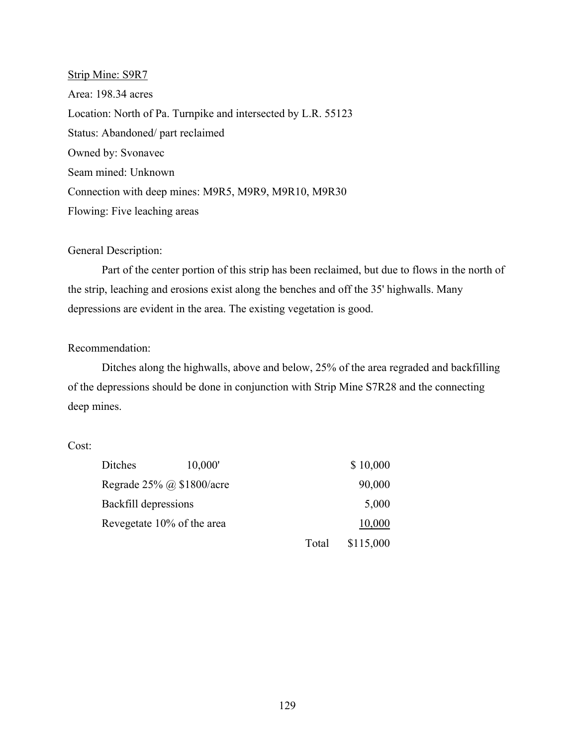Strip Mine: S9R7 Area: 198.34 acres Location: North of Pa. Turnpike and intersected by L.R. 55123 Status: Abandoned/ part reclaimed Owned by: Svonavec Seam mined: Unknown Connection with deep mines: M9R5, M9R9, M9R10, M9R30 Flowing: Five leaching areas

# General Description:

Part of the center portion of this strip has been reclaimed, but due to flows in the north of the strip, leaching and erosions exist along the benches and off the 35' highwalls. Many depressions are evident in the area. The existing vegetation is good.

# Recommendation:

Ditches along the highwalls, above and below, 25% of the area regraded and backfilling of the depressions should be done in conjunction with Strip Mine S7R28 and the connecting deep mines.

# Cost:

| Ditches                     | 10,000'                      |       | \$10,000  |
|-----------------------------|------------------------------|-------|-----------|
|                             | Regrade $25\%$ @ \$1800/acre |       | 90,000    |
| <b>Backfill depressions</b> |                              |       | 5,000     |
|                             | Revegetate 10% of the area   |       | 10,000    |
|                             |                              | Total | \$115,000 |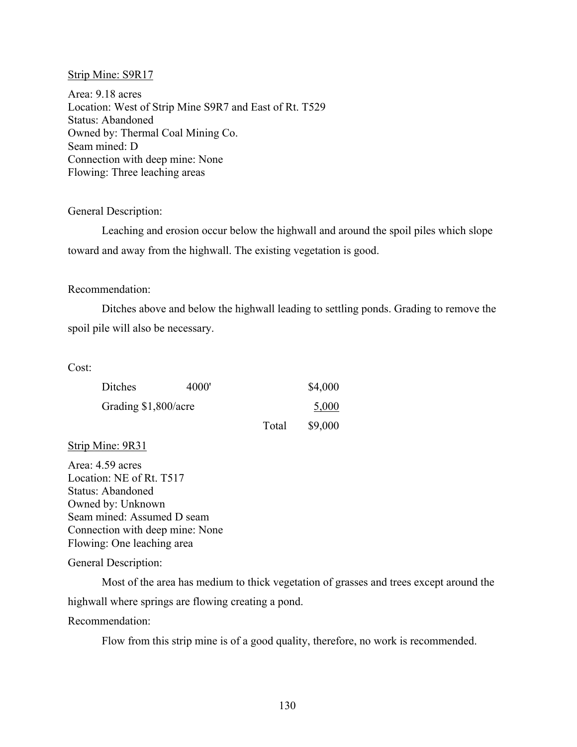### Strip Mine: S9R17

Area: 9.18 acres Location: West of Strip Mine S9R7 and East of Rt. T529 Status: Abandoned Owned by: Thermal Coal Mining Co. Seam mined: D Connection with deep mine: None Flowing: Three leaching areas

General Description:

Leaching and erosion occur below the highwall and around the spoil piles which slope toward and away from the highwall. The existing vegetation is good.

# Recommendation:

Ditches above and below the highwall leading to settling ponds. Grading to remove the spoil pile will also be necessary.

Cost:

| Ditches              | 4000' |       | \$4,000 |
|----------------------|-------|-------|---------|
| Grading \$1,800/acre |       |       | 5,000   |
|                      |       | Total | \$9,000 |

# Strip Mine: 9R31

Area: 4.59 acres Location: NE of Rt. T517 Status: Abandoned Owned by: Unknown Seam mined: Assumed D seam Connection with deep mine: None Flowing: One leaching area

General Description:

 Most of the area has medium to thick vegetation of grasses and trees except around the highwall where springs are flowing creating a pond.

Recommendation:

Flow from this strip mine is of a good quality, therefore, no work is recommended.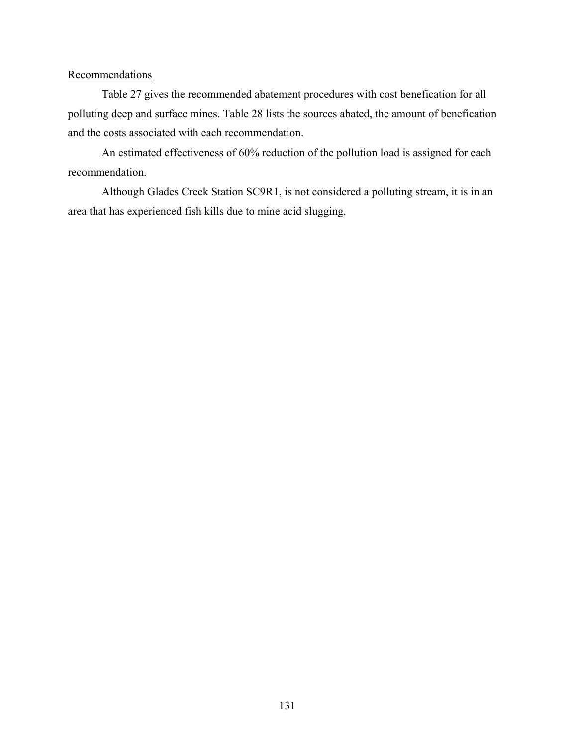# **Recommendations**

Table 27 gives the recommended abatement procedures with cost benefication for all polluting deep and surface mines. Table 28 lists the sources abated, the amount of benefication and the costs associated with each recommendation.

An estimated effectiveness of 60% reduction of the pollution load is assigned for each recommendation.

Although Glades Creek Station SC9R1, is not considered a polluting stream, it is in an area that has experienced fish kills due to mine acid slugging.